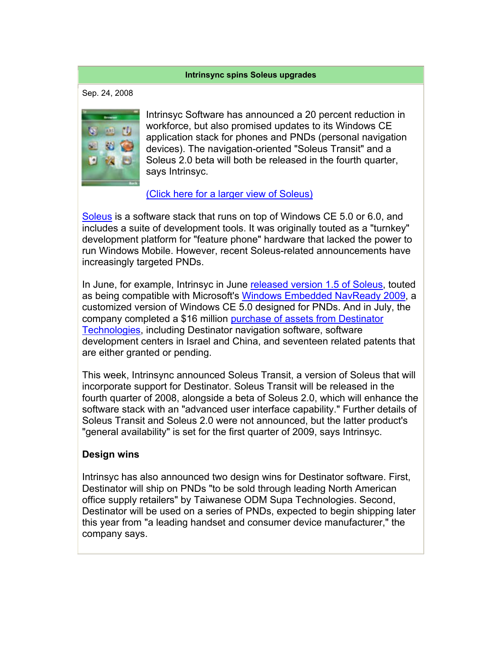## **Intrinsync spins Soleus upgrades**

Sep. 24, 2008



Intrinsyc Software has announced a 20 percent reduction in workforce, but also promised updates to its Windows CE application stack for phones and PNDs (personal navigation devices). The navigation-oriented "Soleus Transit" and a Soleus 2.0 beta will both be released in the fourth quarter, says Intrinsyc.

## (Click here for a larger view of Soleus)

Soleus is a software stack that runs on top of Windows CE 5.0 or 6.0, and includes a suite of development tools. It was originally touted as a "turnkey" development platform for "feature phone" hardware that lacked the power to run Windows Mobile. However, recent Soleus-related announcements have increasingly targeted PNDs.

In June, for example, Intrinsyc in June released version 1.5 of Soleus, touted as being compatible with Microsoft's Windows Embedded NavReady 2009, a customized version of Windows CE 5.0 designed for PNDs. And in July, the company completed a \$16 million purchase of assets from Destinator Technologies, including Destinator navigation software, software development centers in Israel and China, and seventeen related patents that are either granted or pending.

This week, Intrinsync announced Soleus Transit, a version of Soleus that will incorporate support for Destinator. Soleus Transit will be released in the fourth quarter of 2008, alongside a beta of Soleus 2.0, which will enhance the software stack with an "advanced user interface capability." Further details of Soleus Transit and Soleus 2.0 were not announced, but the latter product's "general availability" is set for the first quarter of 2009, says Intrinsyc.

## **Design wins**

Intrinsyc has also announced two design wins for Destinator software. First, Destinator will ship on PNDs "to be sold through leading North American office supply retailers" by Taiwanese ODM Supa Technologies. Second, Destinator will be used on a series of PNDs, expected to begin shipping later this year from "a leading handset and consumer device manufacturer," the company says.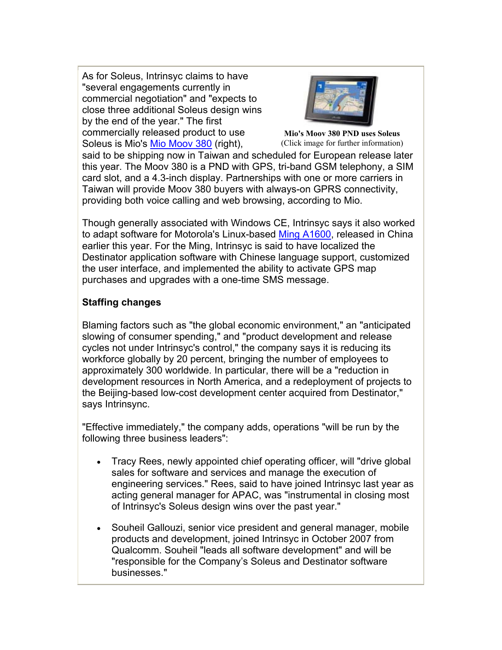As for Soleus, Intrinsyc claims to have "several engagements currently in commercial negotiation" and "expects to close three additional Soleus design wins by the end of the year." The first commercially released product to use Soleus is Mio's Mio Moov 380 (right),



**Mio's Moov 380 PND uses Soleus** (Click image for further information)

said to be shipping now in Taiwan and scheduled for European release later this year. The Moov 380 is a PND with GPS, tri-band GSM telephony, a SIM card slot, and a 4.3-inch display. Partnerships with one or more carriers in Taiwan will provide Moov 380 buyers with always-on GPRS connectivity, providing both voice calling and web browsing, according to Mio.

Though generally associated with Windows CE, Intrinsyc says it also worked to adapt software for Motorola's Linux-based Ming A1600, released in China earlier this year. For the Ming, Intrinsyc is said to have localized the Destinator application software with Chinese language support, customized the user interface, and implemented the ability to activate GPS map purchases and upgrades with a one-time SMS message.

## **Staffing changes**

Blaming factors such as "the global economic environment," an "anticipated slowing of consumer spending," and "product development and release cycles not under Intrinsyc's control," the company says it is reducing its workforce globally by 20 percent, bringing the number of employees to approximately 300 worldwide. In particular, there will be a "reduction in development resources in North America, and a redeployment of projects to the Beijing-based low-cost development center acquired from Destinator," says Intrinsync.

"Effective immediately," the company adds, operations "will be run by the following three business leaders":

- Tracy Rees, newly appointed chief operating officer, will "drive global sales for software and services and manage the execution of engineering services." Rees, said to have joined Intrinsyc last year as acting general manager for APAC, was "instrumental in closing most of Intrinsyc's Soleus design wins over the past year."
- Souheil Gallouzi, senior vice president and general manager, mobile products and development, joined Intrinsyc in October 2007 from Qualcomm. Souheil "leads all software development" and will be "responsible for the Company's Soleus and Destinator software businesses."